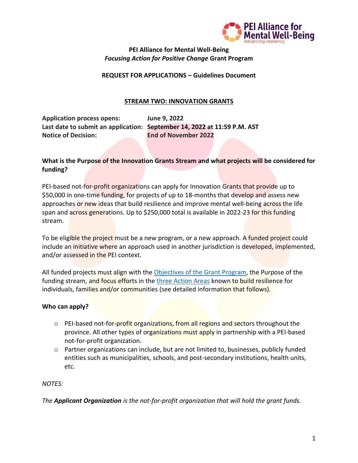

#### **PEI Alliance for Mental Well-Being** *Focusing Action for Positive Change* **Grant Program**

#### **REQUEST FOR APPLICATIONS – Guidelines Document**

#### **STREAM TWO: INNOVATION GRANTS**

**Application process opens: June 9, 2022 Last date to submit an application: September 14, 2022 at 11:59 P.M. AST Notice of Decision: End of November 2022**

## **What is the Purpose of the Innovation Grants Stream and what projects will be considered for funding?**

PEI-based not-for-profit organizations can apply for Innovation Grants that provide up to \$50,000 in one-time funding, for projects of up to 18-months that develop and assess new approaches or new ideas that build resilience and improve mental well-being across the life span and across generations. Up to \$250,000 total is available in 2022-23 for this funding stream.

To be eligible the project must be a new program, or a new approach. A funded project could include an initiative where an approach used in another jurisdiction is developed, implemented, and/or assessed in the PEI context.

All funded projects must align with the [Objectives of the Grant Program,](https://allianceformentalwellbeing.com/grants/) the Purpose of the funding stream, and focus efforts in the [three Action Areas](https://allianceformentalwellbeing.com/grants/) known to build resilience for individuals, families and/or communities (see detailed information that follows).

#### **Who can apply?**

- $\circ$  PEI-based not-for-profit organizations, from all regions and sectors throughout the province. All other types of organizations must apply in partnership with a PEI-based not-for-profit organization.
- o Partner organizations can include, but are not limited to, businesses, publicly funded entities such as municipalities, schools, and post-secondary institutions, health units, etc.

*NOTES:* 

*The Applicant Organization is the not-for-profit organization that will hold the grant funds.*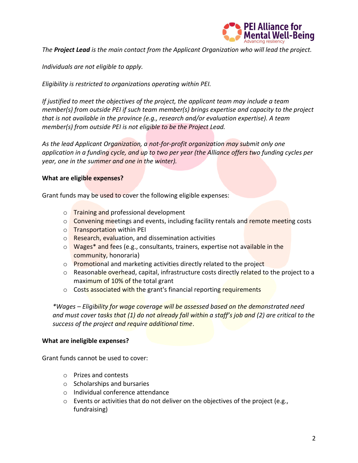

*The Project Lead is the main contact from the Applicant Organization who will lead the project.* 

*Individuals are not eligible to apply.* 

*Eligibility is restricted to organizations operating within PEI.* 

*If justified to meet the objectives of the project, the applicant team may include a team member(s) from outside PEI if such team member(s) brings expertise and capacity to the project that is not available in the province (e.g., research and/or evaluation expertise). A team member(s) from outside PEI is not eligible to be the Project Lead.*

*As the lead Applicant Organization, a not-for-profit organization may submit only one application in a funding cycle, and up to two per year (the Alliance offers two funding cycles per year, one in the summer and one in the winter).* 

#### **What are eligible expenses?**

Grant funds may be used to cover the following eligible expenses:

- o **Training and professional development**
- $\circ$  Convening meetings and events, including facility rentals and remote meeting costs
- o Transportation within PEI
- o Research, evaluation, and dissemination activities
- o Wages\* and fees (e.g., consultants, trainers, expertise not available in the community, honoraria)
- o Promotional and marketing activities directly related to the project
- o Reasonable overhead, capital, infrastructure costs directly related to the project to a maximum of 10% of the total grant
- o Costs associated with the grant's financial reporting requirements

*\*Wages – Eligibility for wage coverage will be assessed based on the demonstrated need and must cover tasks that (1) do not already fall within a staff's job and (2) are critical to the success of the project and require additional time*.

#### **What are ineligible expenses?**

Grant funds cannot be used to cover:

- o Prizes and contests
- o Scholarships and bursaries
- o Individual conference attendance
- o Events or activities that do not deliver on the objectives of the project (e.g., fundraising)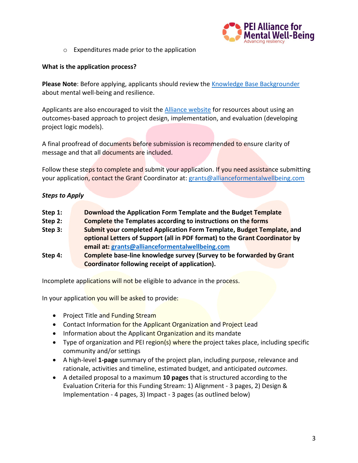

o Expenditures made prior to the application

#### **What is the application process?**

**Please Note**: Before applying, applicants should review the [Knowledge Base Backgrounder](https://allianceformentalwellbeing.com/wp-content/uploads/2021/12/FINAL-Knowledge-Base-1.pdf) about mental well-being and resilience.

Applicants are also encouraged to visit the [Alliance website](https://allianceformentalwellbeing.com/) for resources about using an outcomes-based approach to project design, implementation, and evaluation (developing project logic models).

A final proofread of documents before submission is recommended to ensure clarity of message and that all documents are included.

Follow these steps to complete and submit your application. If you need assistance submitting your application, contact the Grant Coordinator at: [grants@allianceformentalwellbeing.com](mailto:grants@allianceformentalwellbeing.com)

## *Steps to Apply*

| Step $1:$ | Download the Application Form Template and the Budget Template              |  |
|-----------|-----------------------------------------------------------------------------|--|
| Step 2:   | <b>Complete</b> the Templates according to instructions on the forms        |  |
| Step 3:   | Submit your completed Application Form Template, Budget Template, and       |  |
|           | optional Letters of Support (all in PDF format) to the Grant Coordinator by |  |
|           | email at: grants@allianceformentalwellbeing.com                             |  |

**Step 4: Complete base-line knowledge survey (Survey to be forwarded by Grant Coordinator following receipt of application).** 

Incomplete applications will not be eligible to advance in the process.

In your application you will be asked to provide:

- Project Title and Funding Stream
- Contact Information for the Applicant Organization and Project Lead
- Information about the Applicant Organization and its mandate
- Type of organization and PEI region(s) where the project takes place, including specific community and/or settings
- A high-level **1-page** summary of the project plan, including purpose, relevance and rationale, activities and timeline, estimated budget, and anticipated *outcomes*.
- A detailed proposal to a maximum **10 pages** that is structured according to the Evaluation Criteria for this Funding Stream: 1) Alignment - 3 pages, 2) Design & Implementation - 4 pages, 3) Impact - 3 pages (as outlined below)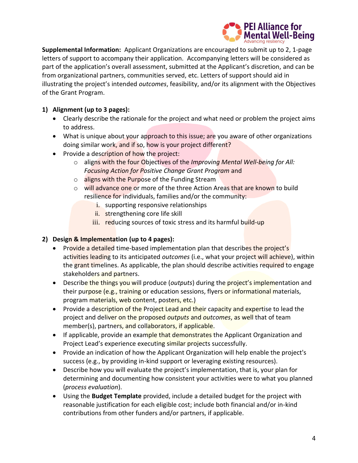

**Supplemental Information:** Applicant Organizations are encouraged to submit up to 2, 1-page letters of support to accompany their application. Accompanying letters will be considered as part of the application's overall assessment, submitted at the Applicant's discretion, and can be from organizational partners, communities served, etc. Letters of support should aid in illustrating the project's intended *outcomes*, feasibility, and/or its alignment with the Objectives of the Grant Program.

# **1) Alignment (up to 3 pages):**

- Clearly describe the rationale for the project and what need or problem the project aims to address.
- What is unique about your approach to this issue; are you aware of other organizations doing similar work, and if so, how is your project different?
- Provide a description of how the project:
	- o aligns with the four Objectives of the *Improving Mental Well-being for All: Focusing Action for Positive Change Grant Program* and
	- o aligns with the Purpose of the Funding Stream
	- o will advance one or more of the three Action Areas that are known to build resilience for individuals, families and/or the community:
		- i. supporting responsive relationships
		- ii. strengthening core life skill
		- iii. reducing sources of toxic stress and its harmful build-up

## **2) Design & Implementation (up to 4 pages):**

- Provide a detailed time-based implementation plan that describes the project's activities leading to its anticipated *outcomes* (i.e., what your project will achieve), within the grant timelines. As applicable, the plan should describe activities required to engage stakeholders and partners.
- Describe the things you will produce (*outputs*) during the **project's implementation and** their purpose (e.g., training or education sessions, flyers or informational materials, program materials, web content, posters, etc.)
- Provide a description of the Project Lead and their capacity and expertise to lead the project and deliver on the proposed *outputs* and *outcomes*, as well that of team member(s), partners, and collaborators, if applicable.
- If applicable, provide an example that demonstrates the Applicant Organization and Project Lead's experience executing similar projects successfully.
- Provide an indication of how the Applicant Organization will help enable the project's success (e.g., by providing in-kind support or leveraging existing resources).
- Describe how you will evaluate the project's implementation, that is, your plan for determining and documenting how consistent your activities were to what you planned (*process evaluation*).
- Using the **Budget Template** provided, include a detailed budget for the project with reasonable justification for each eligible cost; include both financial and/or in-kind contributions from other funders and/or partners, if applicable.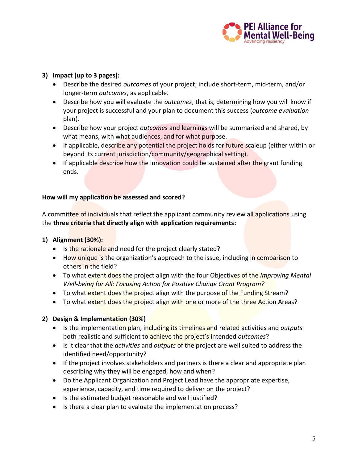

## **3) Impact (up to 3 pages):**

- Describe the desired *outcomes* of your project; include short-term, mid-term, and/or longer-term *outcomes*, as applicable.
- Describe how you will evaluate the *outcomes*, that is, determining how you will know if your project is successful and your plan to document this success (*outcome evaluation* plan).
- Describe how your project *outcomes* and learnings will be summarized and shared, by what means, with what audiences, and for what purpose.
- If applicable, describe any potential the project holds for future scaleup (either within or beyond its current jurisdiction/community/geographical setting).
- If applicable describe how the innovation could be sustained after the grant funding ends.

#### **How will my application be assessed and scored?**

A committee of individuals that reflect the applicant community review all applications using the **three criteria that directly align with application requirements:**

## **1) Alignment (30%):**

- Is the rationale and need for the project clearly stated?
- How unique is the organization's approach to the issue, including in comparison to others in the field?
- To what extent does the project align with the four Objectives of the *Improving Mental Well-being for All: Focusing Action for Positive Change Grant Program?*
- To what extent does the project align with the purpose of the Funding Stream?
- To what extent does the project align with one or more of the three Action Areas?

## **2) Design & Implementation (30%)**

- Is the implementation plan, including its timelines and related activities and *outputs*  both realistic and sufficient to achieve the project's intended *outcomes*?
- Is it clear that the *activities* and *outputs* of the project are well suited to address the identified need/opportunity?
- If the project involves stakeholders and partners is there a clear and appropriate plan describing why they will be engaged, how and when?
- Do the Applicant Organization and Project Lead have the appropriate expertise, experience, capacity, and time required to deliver on the project?
- Is the estimated budget reasonable and well justified?
- Is there a clear plan to evaluate the implementation process?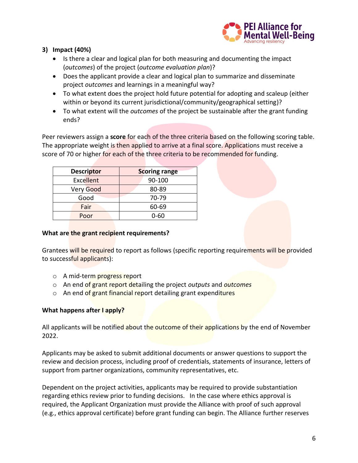

## **3) Impact (40%)**

- Is there a clear and logical plan for both measuring and documenting the impact (*outcomes*) of the project (*outcome evaluation plan*)?
- Does the applicant provide a clear and logical plan to summarize and disseminate project *outcomes* and learnings in a meaningful way?
- To what extent does the project hold future potential for adopting and scaleup (either within or beyond its current jurisdictional/community/geographical setting)?
- To what extent will the *outcomes* of the project be sustainable after the grant funding ends?

Peer reviewers assign a **score** for each of the three criteria based on the following scoring table. The appropriate weight is then applied to arrive at a final score. Applications must receive a score of 70 or higher for each of the three criteria to be recommended for funding.

| <b>Descriptor</b> | <b>Scoring range</b> |
|-------------------|----------------------|
| <b>Excellent</b>  | 90-100               |
| Very Good         | 80-89                |
| Good              | 70-79                |
| Fair              | 60-69                |
| Poor              | በ-6በ                 |

## **What are the grant recipient requirements?**

Grantees will be required to report as follows (specific reporting requirements will be provided to successful applicants):

- o A mid-term progress report
- o An end of grant report detailing the project *outputs* and *outcomes*
- o An end of grant financial report detailing grant expenditures

## **What happens after I apply?**

All applicants will be notified about the outcome of their applications by the end of November 2022.

Applicants may be asked to submit additional documents or answer questions to support the review and decision process, including proof of credentials, statements of insurance, letters of support from partner organizations, community representatives, etc.

Dependent on the project activities, applicants may be required to provide substantiation regarding ethics review prior to funding decisions. In the case where ethics approval is required, the Applicant Organization must provide the Alliance with proof of such approval (e.g., ethics approval certificate) before grant funding can begin. The Alliance further reserves